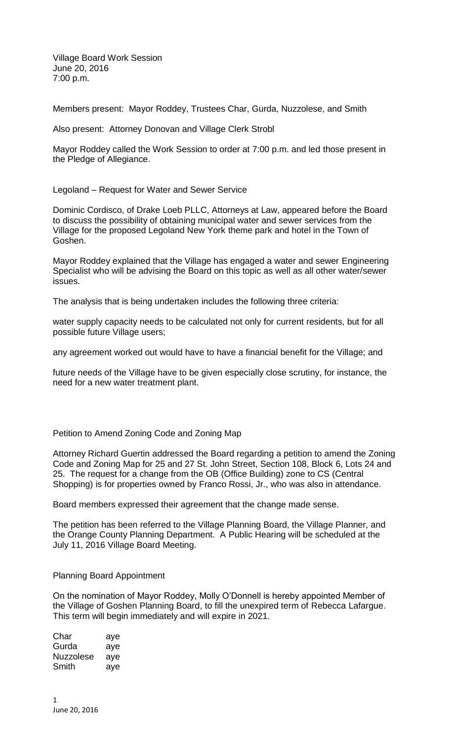Village Board Work Session June 20, 2016 7:00 p.m.

Members present: Mayor Roddey, Trustees Char, Gurda, Nuzzolese, and Smith

Also present: Attorney Donovan and Village Clerk Strobl

Mayor Roddey called the Work Session to order at 7:00 p.m. and led those present in the Pledge of Allegiance.

Legoland – Request for Water and Sewer Service

Dominic Cordisco, of Drake Loeb PLLC, Attorneys at Law, appeared before the Board to discuss the possibility of obtaining municipal water and sewer services from the Village for the proposed Legoland New York theme park and hotel in the Town of Goshen.

Mayor Roddey explained that the Village has engaged a water and sewer Engineering Specialist who will be advising the Board on this topic as well as all other water/sewer issues.

The analysis that is being undertaken includes the following three criteria:

water supply capacity needs to be calculated not only for current residents, but for all possible future Village users;

any agreement worked out would have to have a financial benefit for the Village; and

future needs of the Village have to be given especially close scrutiny, for instance, the need for a new water treatment plant.

Petition to Amend Zoning Code and Zoning Map

Attorney Richard Guertin addressed the Board regarding a petition to amend the Zoning Code and Zoning Map for 25 and 27 St. John Street, Section 108, Block 6, Lots 24 and 25. The request for a change from the OB (Office Building) zone to CS (Central Shopping) is for properties owned by Franco Rossi, Jr., who was also in attendance.

Board members expressed their agreement that the change made sense.

The petition has been referred to the Village Planning Board, the Village Planner, and the Orange County Planning Department. A Public Hearing will be scheduled at the July 11, 2016 Village Board Meeting.

## Planning Board Appointment

On the nomination of Mayor Roddey, Molly O'Donnell is hereby appointed Member of the Village of Goshen Planning Board, to fill the unexpired term of Rebecca Lafargue. This term will begin immediately and will expire in 2021.

Char aye Gurda aye Nuzzolese aye Smith aye